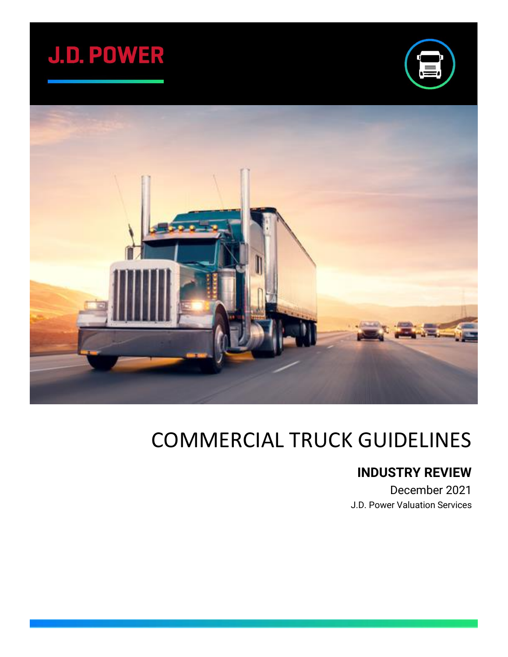





## COMMERCIAL TRUCK GUIDELINES

## **INDUSTRY REVIEW**

December 2021 J.D. Power Valuation Services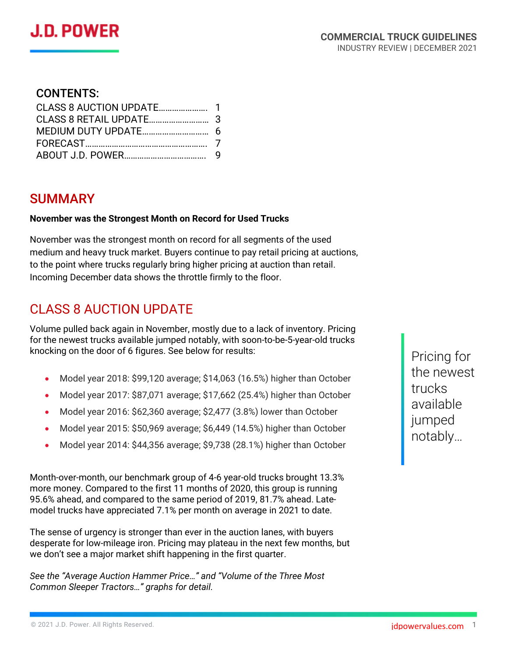

#### CONTENTS:

#### SUMMARY

#### **November was the Strongest Month on Record for Used Trucks**

November was the strongest month on record for all segments of the used medium and heavy truck market. Buyers continue to pay retail pricing at auctions, to the point where trucks regularly bring higher pricing at auction than retail. Incoming December data shows the throttle firmly to the floor.

#### CLASS 8 AUCTION UPDATE

Volume pulled back again in November, mostly due to a lack of inventory. Pricing for the newest trucks available jumped notably, with soon-to-be-5-year-old trucks knocking on the door of 6 figures. See below for results:

- Model year 2018: \$99,120 average; \$14,063 (16.5%) higher than October
- Model year 2017: \$87,071 average; \$17,662 (25.4%) higher than October
- Model year 2016: \$62,360 average; \$2,477 (3.8%) lower than October
- Model year 2015: \$50,969 average; \$6,449 (14.5%) higher than October
- Model year 2014: \$44,356 average; \$9,738 (28.1%) higher than October

Month-over-month, our benchmark group of 4-6 year-old trucks brought 13.3% more money. Compared to the first 11 months of 2020, this group is running 95.6% ahead, and compared to the same period of 2019, 81.7% ahead. Latemodel trucks have appreciated 7.1% per month on average in 2021 to date.

The sense of urgency is stronger than ever in the auction lanes, with buyers desperate for low-mileage iron. Pricing may plateau in the next few months, but we don't see a major market shift happening in the first quarter.

*See the "Average Auction Hammer Price…" and "Volume of the Three Most Common Sleeper Tractors…" graphs for detail.*

Pricing for the newest trucks available jumped notably…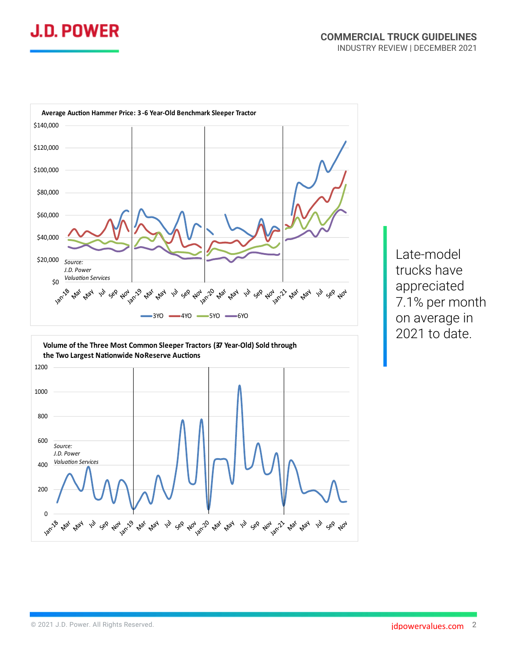



Late-model trucks have appreciated 7.1% per month on average in 2021 to date.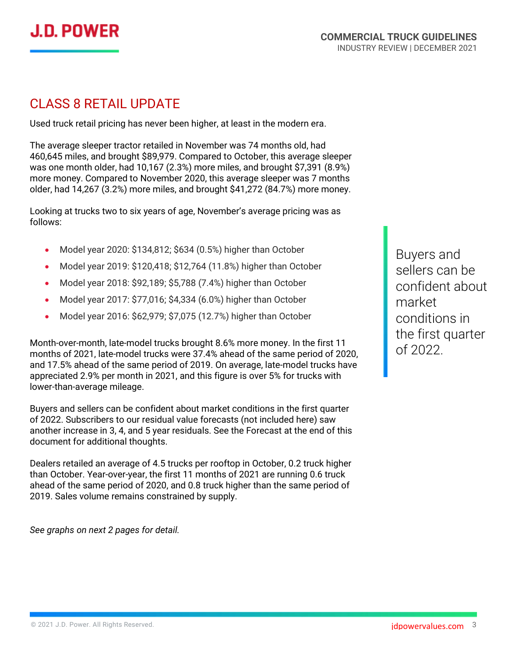

#### CLASS 8 RETAIL UPDATE

Used truck retail pricing has never been higher, at least in the modern era.

The average sleeper tractor retailed in November was 74 months old, had 460,645 miles, and brought \$89,979. Compared to October, this average sleeper was one month older, had 10,167 (2.3%) more miles, and brought \$7,391 (8.9%) more money. Compared to November 2020, this average sleeper was 7 months older, had 14,267 (3.2%) more miles, and brought \$41,272 (84.7%) more money.

Looking at trucks two to six years of age, November's average pricing was as follows:

- Model year 2020: \$134,812; \$634 (0.5%) higher than October
- Model year 2019: \$120,418; \$12,764 (11.8%) higher than October
- Model year 2018: \$92,189; \$5,788 (7.4%) higher than October
- Model year 2017: \$77,016; \$4,334 (6.0%) higher than October
- Model year 2016: \$62,979; \$7,075 (12.7%) higher than October

Month-over-month, late-model trucks brought 8.6% more money. In the first 11 months of 2021, late-model trucks were 37.4% ahead of the same period of 2020, and 17.5% ahead of the same period of 2019. On average, late-model trucks have appreciated 2.9% per month in 2021, and this figure is over 5% for trucks with lower-than-average mileage.

Buyers and sellers can be confident about market conditions in the first quarter of 2022. Subscribers to our residual value forecasts (not included here) saw another increase in 3, 4, and 5 year residuals. See the Forecast at the end of this document for additional thoughts.

Dealers retailed an average of 4.5 trucks per rooftop in October, 0.2 truck higher than October. Year-over-year, the first 11 months of 2021 are running 0.6 truck ahead of the same period of 2020, and 0.8 truck higher than the same period of 2019. Sales volume remains constrained by supply.

*See graphs on next 2 pages for detail.*

Buyers and sellers can be confident about market conditions in the first quarter of 2022.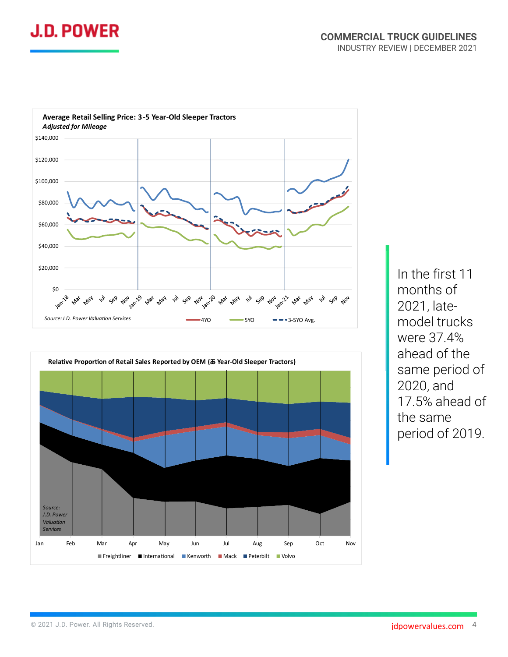





In the first 11 months of 2021, latemodel trucks were 37.4% ahead of the same period of 2020, and 17.5% ahead of the same period of 2019.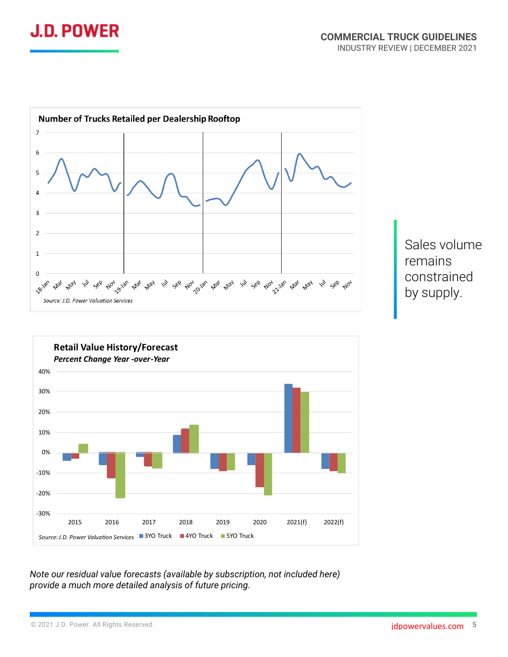







*Note our residual value forecasts (available by subscription, not included here) provide a much more detailed analysis of future pricing.*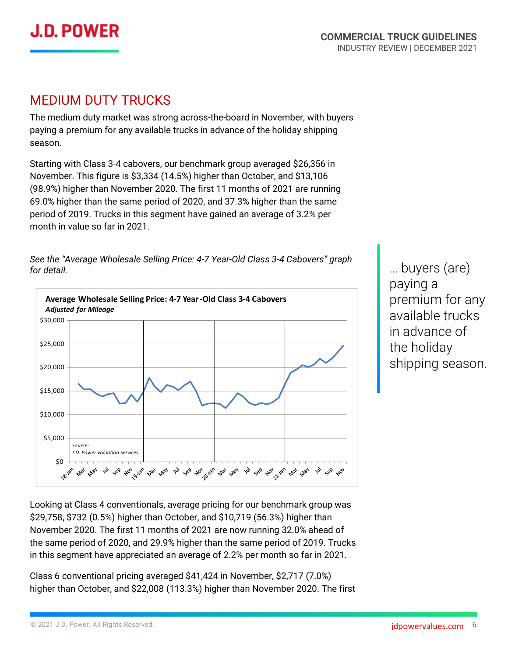

#### MEDIUM DUTY TRUCKS

The medium duty market was strong across-the-board in November, with buyers paying a premium for any available trucks in advance of the holiday shipping season.

Starting with Class 3-4 cabovers, our benchmark group averaged \$26,356 in November. This figure is \$3,334 (14.5%) higher than October, and \$13,106 (98.9%) higher than November 2020. The first 11 months of 2021 are running 69.0% higher than the same period of 2020, and 37.3% higher than the same period of 2019. Trucks in this segment have gained an average of 3.2% per month in value so far in 2021.

*for detail.* **Average Wholesale Selling Price: 4-7 Year-Old Class 3-4 Cabovers** 

*See the "Average Wholesale Selling Price: 4-7 Year-Old Class 3-4 Cabovers" graph* 



… buyers (are) paying a premium for any available trucks in advance of the holiday shipping season.

Looking at Class 4 conventionals, average pricing for our benchmark group was \$29,758, \$732 (0.5%) higher than October, and \$10,719 (56.3%) higher than November 2020. The first 11 months of 2021 are now running 32.0% ahead of the same period of 2020, and 29.9% higher than the same period of 2019. Trucks in this segment have appreciated an average of 2.2% per month so far in 2021.

Class 6 conventional pricing averaged \$41,424 in November, \$2,717 (7.0%) higher than October, and \$22,008 (113.3%) higher than November 2020. The first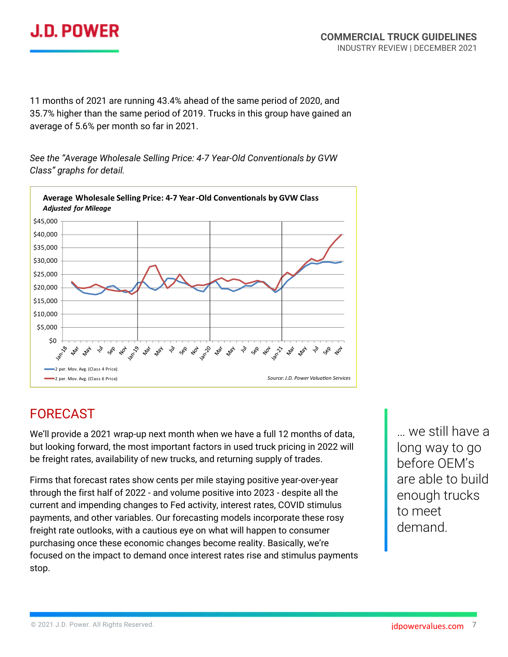

11 months of 2021 are running 43.4% ahead of the same period of 2020, and 35.7% higher than the same period of 2019. Trucks in this group have gained an average of 5.6% per month so far in 2021.

*See the "Average Wholesale Selling Price: 4-7 Year-Old Conventionals by GVW Class" graphs for detail.*



## FORECAST

We'll provide a 2021 wrap-up next month when we have a full 12 months of data, but looking forward, the most important factors in used truck pricing in 2022 will be freight rates, availability of new trucks, and returning supply of trades.

Firms that forecast rates show cents per mile staying positive year-over-year through the first half of 2022 - and volume positive into 2023 - despite all the current and impending changes to Fed activity, interest rates, COVID stimulus payments, and other variables. Our forecasting models incorporate these rosy freight rate outlooks, with a cautious eye on what will happen to consumer purchasing once these economic changes become reality. Basically, we're focused on the impact to demand once interest rates rise and stimulus payments stop.

… we still have a long way to go before OEM's are able to build enough trucks to meet demand.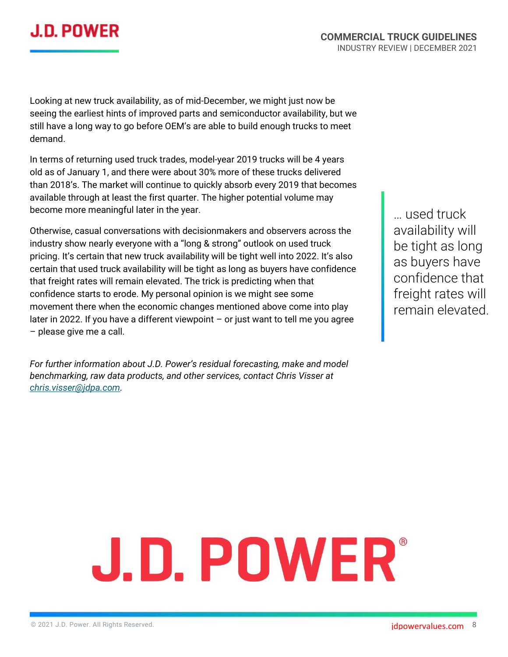## **J.D. POWER**

Looking at new truck availability, as of mid-December, we might just now be seeing the earliest hints of improved parts and semiconductor availability, but we still have a long way to go before OEM's are able to build enough trucks to meet demand.

In terms of returning used truck trades, model-year 2019 trucks will be 4 years old as of January 1, and there were about 30% more of these trucks delivered than 2018's. The market will continue to quickly absorb every 2019 that becomes available through at least the first quarter. The higher potential volume may become more meaningful later in the year.

Otherwise, casual conversations with decisionmakers and observers across the industry show nearly everyone with a "long & strong" outlook on used truck pricing. It's certain that new truck availability will be tight well into 2022. It's also certain that used truck availability will be tight as long as buyers have confidence that freight rates will remain elevated. The trick is predicting when that confidence starts to erode. My personal opinion is we might see some movement there when the economic changes mentioned above come into play later in 2022. If you have a different viewpoint  $-$  or just want to tell me you agree – please give me a call.

*For further information about J.D. Power's residual forecasting, make and model benchmarking, raw data products, and other services, contact Chris Visser at [chris.visser@jdpa.com.](mailto:chris.visser@jdpa.com)*

… used truck availability will be tight as long as buyers have confidence that freight rates will remain elevated.

# **J.D. POWER**